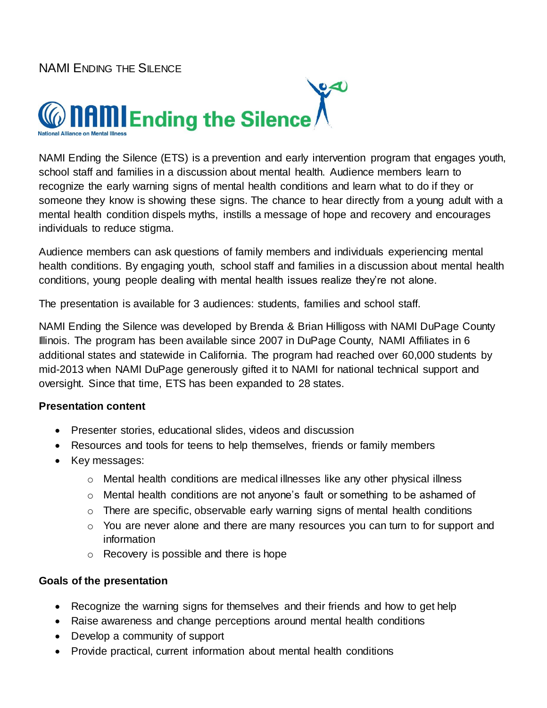

NAMI Ending the Silence (ETS) is a prevention and early intervention program that engages youth, school staff and families in a discussion about mental health. Audience members learn to recognize the early warning signs of mental health conditions and learn what to do if they or someone they know is showing these signs. The chance to hear directly from a young adult with a mental health condition dispels myths, instills a message of hope and recovery and encourages individuals to reduce stigma.

Audience members can ask questions of family members and individuals experiencing mental health conditions. By engaging youth, school staff and families in a discussion about mental health conditions, young people dealing with mental health issues realize they're not alone.

The presentation is available for 3 audiences: students, families and school staff.

NAMI Ending the Silence was developed by Brenda & Brian Hilligoss with NAMI DuPage County Illinois. The program has been available since 2007 in DuPage County, NAMI Affiliates in 6 additional states and statewide in California. The program had reached over 60,000 students by mid-2013 when NAMI DuPage generously gifted it to NAMI for national technical support and oversight. Since that time, ETS has been expanded to 28 states.

### **Presentation content**

- Presenter stories, educational slides, videos and discussion
- Resources and tools for teens to help themselves, friends or family members
- Key messages:
	- $\circ$  Mental health conditions are medical illnesses like any other physical illness
	- o Mental health conditions are not anyone's fault or something to be ashamed of
	- o There are specific, observable early warning signs of mental health conditions
	- o You are never alone and there are many resources you can turn to for support and information
	- o Recovery is possible and there is hope

### **Goals of the presentation**

- Recognize the warning signs for themselves and their friends and how to get help
- Raise awareness and change perceptions around mental health conditions
- Develop a community of support
- Provide practical, current information about mental health conditions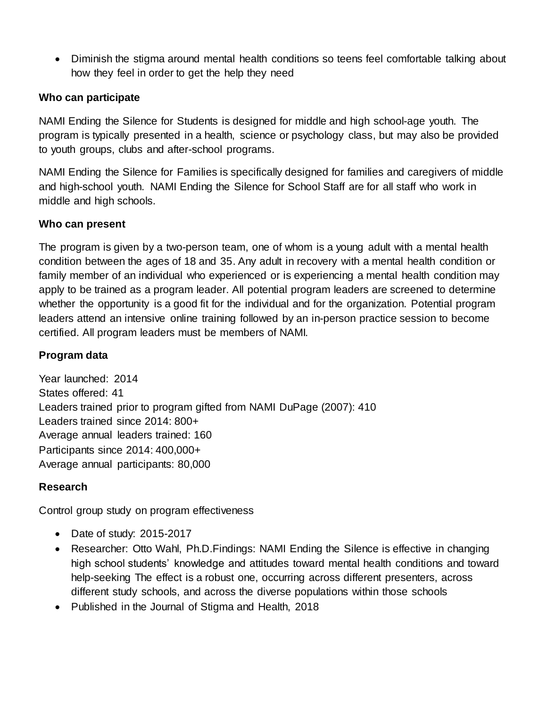• Diminish the stigma around mental health conditions so teens feel comfortable talking about how they feel in order to get the help they need

## **Who can participate**

NAMI Ending the Silence for Students is designed for middle and high school-age youth. The program is typically presented in a health, science or psychology class, but may also be provided to youth groups, clubs and after-school programs.

NAMI Ending the Silence for Families is specifically designed for families and caregivers of middle and high-school youth. NAMI Ending the Silence for School Staff are for all staff who work in middle and high schools.

## **Who can present**

The program is given by a two-person team, one of whom is a young adult with a mental health condition between the ages of 18 and 35. Any adult in recovery with a mental health condition or family member of an individual who experienced or is experiencing a mental health condition may apply to be trained as a program leader. All potential program leaders are screened to determine whether the opportunity is a good fit for the individual and for the organization. Potential program leaders attend an intensive online training followed by an in-person practice session to become certified. All program leaders must be members of NAMI.

## **Program data**

Year launched: 2014 States offered: 41 Leaders trained prior to program gifted from NAMI DuPage (2007): 410 Leaders trained since 2014: 800+ Average annual leaders trained: 160 Participants since 2014: 400,000+ Average annual participants: 80,000

### **Research**

Control group study on program effectiveness

- Date of study: 2015-2017
- Researcher: Otto Wahl, Ph.D. Findings: NAMI Ending the Silence is effective in changing high school students' knowledge and attitudes toward mental health conditions and toward help-seeking The effect is a robust one, occurring across different presenters, across different study schools, and across the diverse populations within those schools
- Published in the Journal of Stigma and Health, 2018